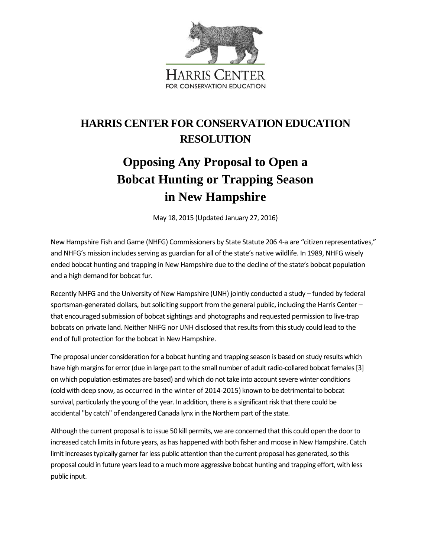

## **HARRIS CENTER FOR CONSERVATION EDUCATION RESOLUTION**

## **Opposing Any Proposal to Open a Bobcat Hunting or Trapping Season in New Hampshire**

May 18, 2015 (Updated January 27, 2016)

New Hampshire Fish and Game (NHFG) Commissioners by State Statute 206 4-a are "citizen representatives," and NHFG's mission includes serving as guardian for all of the state's native wildlife. In 1989, NHFG wisely ended bobcat hunting and trapping in New Hampshire due to the decline of the state's bobcat population and a high demand for bobcat fur.

Recently NHFG and the University of New Hampshire (UNH) jointly conducted a study – funded by federal sportsman-generated dollars, but soliciting support from the general public, including the Harris Center – that encouraged submission of bobcat sightings and photographs and requested permission to live-trap bobcats on private land. Neither NHFG nor UNH disclosed that results from this study could lead to the end of full protection for the bobcat in New Hampshire.

The proposal under consideration for a bobcat hunting and trapping season is based on study results which have high margins for error (due in large part to the small number of adult radio-collared bobcat females [3] on which population estimates are based) and which do not take into account severe winter conditions (cold with deep snow, as occurred in the winter of 2014-2015) known to be detrimental to bobcat survival, particularly the young of the year. In addition, there is a significant risk that there could be accidental "by catch" of endangered Canada lynx in the Northern part of the state.

Although the current proposal isto issue 50 kill permits, we are concerned that this could open the door to increased catch limits in future years, as has happened with both fisher and moose in New Hampshire. Catch limit increases typically garner far less public attention than the current proposal has generated, so this proposal could in future yearslead to a much more aggressive bobcat hunting and trapping effort, with less public input.